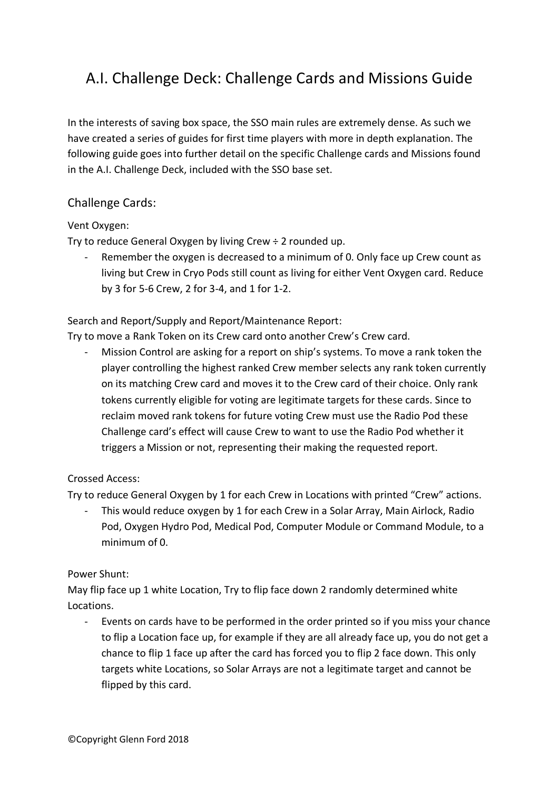# A.I. Challenge Deck: Challenge Cards and Missions Guide

In the interests of saving box space, the SSO main rules are extremely dense. As such we have created a series of guides for first time players with more in depth explanation. The following guide goes into further detail on the specific Challenge cards and Missions found in the A.I. Challenge Deck, included with the SSO base set.

# Challenge Cards:

#### Vent Oxygen:

Try to reduce General Oxygen by living Crew  $\div$  2 rounded up.

Remember the oxygen is decreased to a minimum of 0. Only face up Crew count as living but Crew in Cryo Pods still count as living for either Vent Oxygen card. Reduce by 3 for 5-6 Crew, 2 for 3-4, and 1 for 1-2.

Search and Report/Supply and Report/Maintenance Report:

Try to move a Rank Token on its Crew card onto another Crew's Crew card.

Mission Control are asking for a report on ship's systems. To move a rank token the player controlling the highest ranked Crew member selects any rank token currently on its matching Crew card and moves it to the Crew card of their choice. Only rank tokens currently eligible for voting are legitimate targets for these cards. Since to reclaim moved rank tokens for future voting Crew must use the Radio Pod these Challenge card's effect will cause Crew to want to use the Radio Pod whether it triggers a Mission or not, representing their making the requested report.

#### Crossed Access:

Try to reduce General Oxygen by 1 for each Crew in Locations with printed "Crew" actions.

- This would reduce oxygen by 1 for each Crew in a Solar Array, Main Airlock, Radio Pod, Oxygen Hydro Pod, Medical Pod, Computer Module or Command Module, to a minimum of 0.

#### Power Shunt:

May flip face up 1 white Location, Try to flip face down 2 randomly determined white Locations.

Events on cards have to be performed in the order printed so if you miss your chance to flip a Location face up, for example if they are all already face up, you do not get a chance to flip 1 face up after the card has forced you to flip 2 face down. This only targets white Locations, so Solar Arrays are not a legitimate target and cannot be flipped by this card.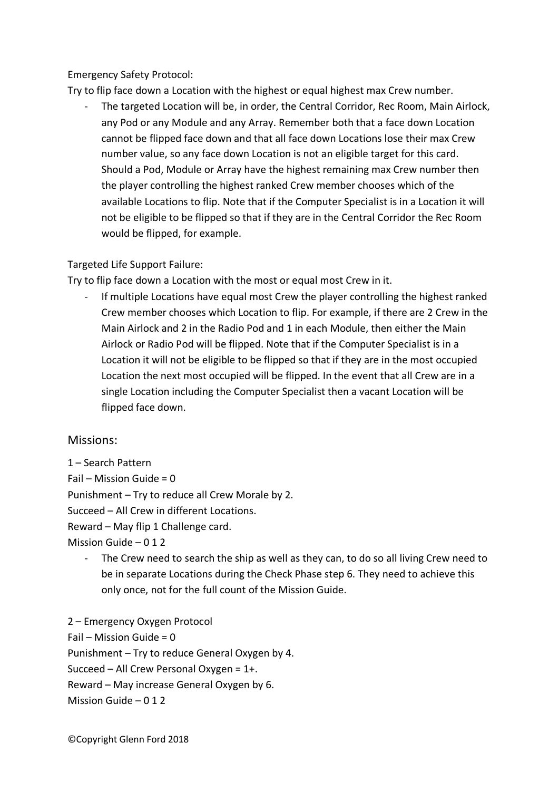### Emergency Safety Protocol:

Try to flip face down a Location with the highest or equal highest max Crew number.

The targeted Location will be, in order, the Central Corridor, Rec Room, Main Airlock, any Pod or any Module and any Array. Remember both that a face down Location cannot be flipped face down and that all face down Locations lose their max Crew number value, so any face down Location is not an eligible target for this card. Should a Pod, Module or Array have the highest remaining max Crew number then the player controlling the highest ranked Crew member chooses which of the available Locations to flip. Note that if the Computer Specialist is in a Location it will not be eligible to be flipped so that if they are in the Central Corridor the Rec Room would be flipped, for example.

#### Targeted Life Support Failure:

Try to flip face down a Location with the most or equal most Crew in it.

If multiple Locations have equal most Crew the player controlling the highest ranked Crew member chooses which Location to flip. For example, if there are 2 Crew in the Main Airlock and 2 in the Radio Pod and 1 in each Module, then either the Main Airlock or Radio Pod will be flipped. Note that if the Computer Specialist is in a Location it will not be eligible to be flipped so that if they are in the most occupied Location the next most occupied will be flipped. In the event that all Crew are in a single Location including the Computer Specialist then a vacant Location will be flipped face down.

## Missions:

1 – Search Pattern Fail – Mission Guide =  $0$ Punishment – Try to reduce all Crew Morale by 2. Succeed – All Crew in different Locations. Reward – May flip 1 Challenge card. Mission Guide – 0 1 2

The Crew need to search the ship as well as they can, to do so all living Crew need to be in separate Locations during the Check Phase step 6. They need to achieve this only once, not for the full count of the Mission Guide.

2 – Emergency Oxygen Protocol Fail – Mission Guide =  $0$ Punishment – Try to reduce General Oxygen by 4. Succeed – All Crew Personal Oxygen = 1+. Reward – May increase General Oxygen by 6. Mission Guide – 0 1 2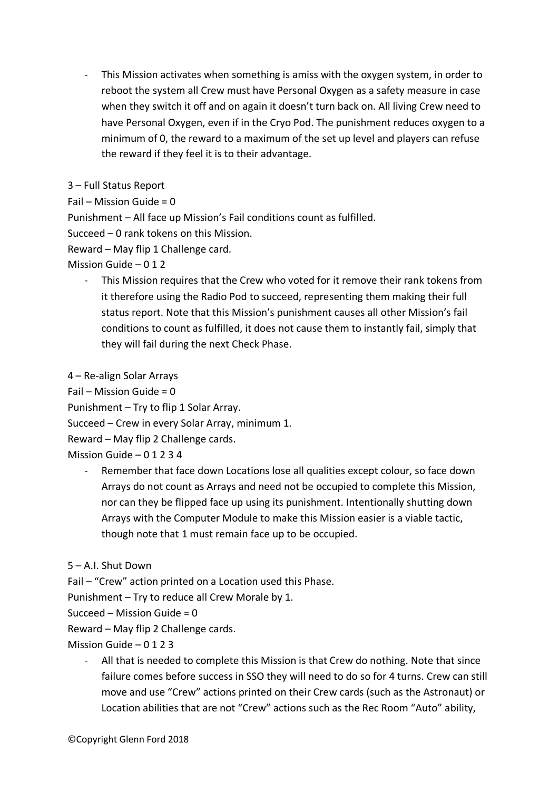- This Mission activates when something is amiss with the oxygen system, in order to reboot the system all Crew must have Personal Oxygen as a safety measure in case when they switch it off and on again it doesn't turn back on. All living Crew need to have Personal Oxygen, even if in the Cryo Pod. The punishment reduces oxygen to a minimum of 0, the reward to a maximum of the set up level and players can refuse the reward if they feel it is to their advantage.

3 – Full Status Report

Fail – Mission Guide = 0

Punishment – All face up Mission's Fail conditions count as fulfilled.

Succeed – 0 rank tokens on this Mission.

Reward – May flip 1 Challenge card.

Mission Guide – 0 1 2

- This Mission requires that the Crew who voted for it remove their rank tokens from it therefore using the Radio Pod to succeed, representing them making their full status report. Note that this Mission's punishment causes all other Mission's fail conditions to count as fulfilled, it does not cause them to instantly fail, simply that they will fail during the next Check Phase.

4 – Re-align Solar Arrays

Fail – Mission Guide =  $0$ 

Punishment – Try to flip 1 Solar Array.

Succeed – Crew in every Solar Array, minimum 1.

Reward – May flip 2 Challenge cards.

Mission Guide – 0 1 2 3 4

- Remember that face down Locations lose all qualities except colour, so face down Arrays do not count as Arrays and need not be occupied to complete this Mission, nor can they be flipped face up using its punishment. Intentionally shutting down Arrays with the Computer Module to make this Mission easier is a viable tactic, though note that 1 must remain face up to be occupied.
- 5 A.I. Shut Down

Fail – "Crew" action printed on a Location used this Phase.

Punishment – Try to reduce all Crew Morale by 1.

Succeed – Mission Guide =  $0$ 

Reward – May flip 2 Challenge cards.

Mission Guide  $-0123$ 

All that is needed to complete this Mission is that Crew do nothing. Note that since failure comes before success in SSO they will need to do so for 4 turns. Crew can still move and use "Crew" actions printed on their Crew cards (such as the Astronaut) or Location abilities that are not "Crew" actions such as the Rec Room "Auto" ability,